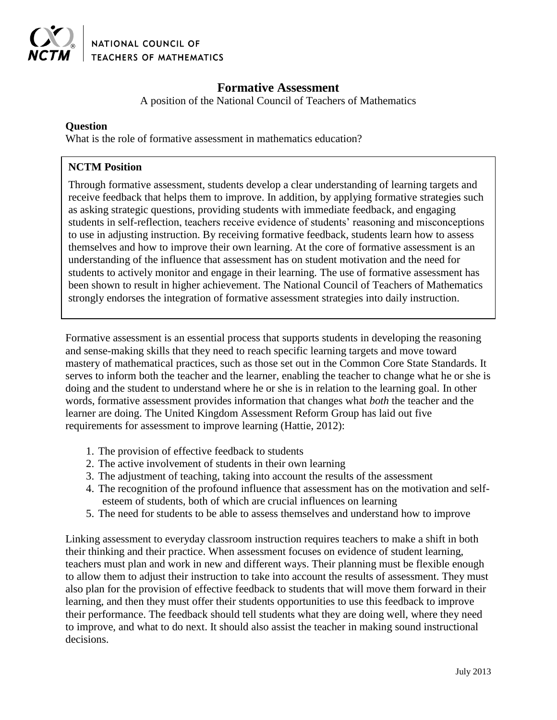

NATIONAL COUNCIL OF **TEACHERS OF MATHEMATICS** 

# **Formative Assessment**

A position of the National Council of Teachers of Mathematics

### **Question**

What is the role of formative assessment in mathematics education?

# **NCTM Position**

Through formative assessment, students develop a clear understanding of learning targets and receive feedback that helps them to improve. In addition, by applying formative strategies such as asking strategic questions, providing students with immediate feedback, and engaging students in self-reflection, teachers receive evidence of students' reasoning and misconceptions to use in adjusting instruction. By receiving formative feedback, students learn how to assess themselves and how to improve their own learning. At the core of formative assessment is an understanding of the influence that assessment has on student motivation and the need for students to actively monitor and engage in their learning. The use of formative assessment has been shown to result in higher achievement. The National Council of Teachers of Mathematics strongly endorses the integration of formative assessment strategies into daily instruction.

Formative assessment is an essential process that supports students in developing the reasoning and sense-making skills that they need to reach specific learning targets and move toward mastery of mathematical practices, such as those set out in the Common Core State Standards. It serves to inform both the teacher and the learner, enabling the teacher to change what he or she is doing and the student to understand where he or she is in relation to the learning goal. In other words, formative assessment provides information that changes what *both* the teacher and the learner are doing. The United Kingdom Assessment Reform Group has laid out five requirements for assessment to improve learning (Hattie, 2012):

- 1. The provision of effective feedback to students
- 2. The active involvement of students in their own learning
- 3. The adjustment of teaching, taking into account the results of the assessment
- 4. The recognition of the profound influence that assessment has on the motivation and selfesteem of students, both of which are crucial influences on learning
- 5. The need for students to be able to assess themselves and understand how to improve

Linking assessment to everyday classroom instruction requires teachers to make a shift in both their thinking and their practice. When assessment focuses on evidence of student learning, teachers must plan and work in new and different ways. Their planning must be flexible enough to allow them to adjust their instruction to take into account the results of assessment. They must also plan for the provision of effective feedback to students that will move them forward in their learning, and then they must offer their students opportunities to use this feedback to improve their performance. The feedback should tell students what they are doing well, where they need to improve, and what to do next. It should also assist the teacher in making sound instructional decisions.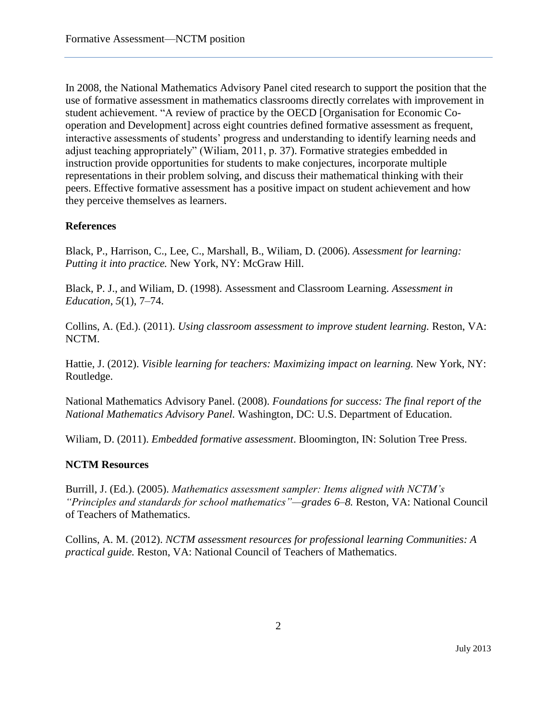In 2008, the National Mathematics Advisory Panel cited research to support the position that the use of formative assessment in mathematics classrooms directly correlates with improvement in student achievement. "A review of practice by the OECD [Organisation for Economic Cooperation and Development] across eight countries defined formative assessment as frequent, interactive assessments of students' progress and understanding to identify learning needs and adjust teaching appropriately" (Wiliam, 2011, p. 37). Formative strategies embedded in instruction provide opportunities for students to make conjectures, incorporate multiple representations in their problem solving, and discuss their mathematical thinking with their peers. Effective formative assessment has a positive impact on student achievement and how they perceive themselves as learners.

# **References**

Black, P., Harrison, C., Lee, C., Marshall, B., Wiliam, D. (2006). *Assessment for learning: Putting it into practice.* New York, NY: McGraw Hill.

Black, P. J., and Wiliam, D. (1998). Assessment and Classroom Learning. *Assessment in Education*, *5*(1), 7–74.

Collins, A. (Ed.). (2011). *Using classroom assessment to improve student learning.* Reston, VA: NCTM.

Hattie, J. (2012). *Visible learning for teachers: Maximizing impact on learning.* New York, NY: Routledge.

National Mathematics Advisory Panel. (2008). *Foundations for success: The final report of the National Mathematics Advisory Panel.* Washington, DC: U.S. Department of Education.

Wiliam, D. (2011). *Embedded formative assessment*. Bloomington, IN: Solution Tree Press.

### **NCTM Resources**

Burrill, J. (Ed.). (2005). *Mathematics assessment sampler: Items aligned with NCTM's "Principles and standards for school mathematics"—grades 6–8.* Reston, VA: National Council of Teachers of Mathematics.

Collins, A. M. (2012). *NCTM assessment resources for professional learning Communities: A practical guide.* Reston, VA: National Council of Teachers of Mathematics.